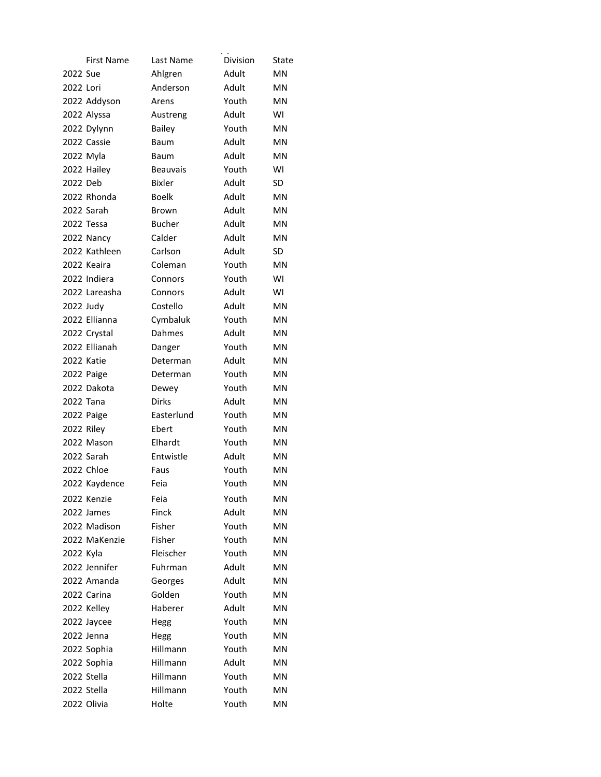|            | <b>First Name</b> | Last Name       | Division | State     |
|------------|-------------------|-----------------|----------|-----------|
| 2022 Sue   |                   | Ahlgren         | Adult    | MN        |
| 2022 Lori  |                   | Anderson        | Adult    | ΜN        |
|            | 2022 Addyson      | Arens           | Youth    | MN        |
|            | 2022 Alyssa       | Austreng        | Adult    | WI        |
|            | 2022 Dylynn       | Bailey          | Youth    | <b>MN</b> |
|            | 2022 Cassie       | Baum            | Adult    | MN        |
|            | 2022 Myla         | Baum            | Adult    | <b>MN</b> |
|            | 2022 Hailey       | <b>Beauvais</b> | Youth    | W١        |
| 2022 Deb   |                   | Bixler          | Adult    | SD        |
|            | 2022 Rhonda       | <b>Boelk</b>    | Adult    | <b>MN</b> |
|            | 2022 Sarah        | <b>Brown</b>    | Adult    | <b>MN</b> |
|            | 2022 Tessa        | <b>Bucher</b>   | Adult    | ΜN        |
|            | 2022 Nancy        | Calder          | Adult    | <b>MN</b> |
|            | 2022 Kathleen     | Carlson         | Adult    | SD        |
|            | 2022 Keaira       | Coleman         | Youth    | ΜN        |
|            | 2022 Indiera      | Connors         | Youth    | WI        |
|            | 2022 Lareasha     | Connors         | Adult    | WI        |
| 2022 Judy  |                   | Costello        | Adult    | ΜN        |
|            | 2022 Ellianna     | Cymbaluk        | Youth    | ΜN        |
|            | 2022 Crystal      | Dahmes          | Adult    | <b>MN</b> |
|            | 2022 Ellianah     | Danger          | Youth    | ΜN        |
|            | 2022 Katie        | Determan        | Adult    | MN        |
|            | 2022 Paige        | Determan        | Youth    | <b>MN</b> |
|            | 2022 Dakota       | Dewey           | Youth    | MN        |
| 2022 Tana  |                   | Dirks           | Adult    | ΜN        |
|            | 2022 Paige        | Easterlund      | Youth    | <b>MN</b> |
| 2022 Riley |                   | Ebert           | Youth    | <b>MN</b> |
|            | 2022 Mason        | Elhardt         | Youth    | MN        |
|            | 2022 Sarah        | Entwistle       | Adult    | <b>MN</b> |
|            | 2022 Chloe        | Faus            | Youth    | <b>MN</b> |
|            | 2022 Kaydence     | Feia            | Youth    | MN        |
|            | 2022 Kenzie       | Feia            | Youth    | MN        |
|            | 2022 James        | Finck           | Adult    | MN        |
|            | 2022 Madison      | Fisher          | Youth    | ΜN        |
|            | 2022 MaKenzie     | Fisher          | Youth    | MN        |
| 2022 Kyla  |                   | Fleischer       | Youth    | ΜN        |
|            | 2022 Jennifer     | Fuhrman         | Adult    | MN        |
|            | 2022 Amanda       | Georges         | Adult    | MN        |
|            | 2022 Carina       | Golden          | Youth    | ΜN        |
|            | 2022 Kelley       | Haberer         | Adult    | MN        |
|            | 2022 Jaycee       | Hegg            | Youth    | MN        |
|            | 2022 Jenna        | Hegg            | Youth    | ΜN        |
|            | 2022 Sophia       | Hillmann        | Youth    | ΜN        |
|            | 2022 Sophia       | Hillmann        | Adult    | <b>MN</b> |
|            | 2022 Stella       | Hillmann        | Youth    | ΜN        |
|            | 2022 Stella       | Hillmann        | Youth    | ΜN        |
|            | 2022 Olivia       | Holte           | Youth    | ΜN        |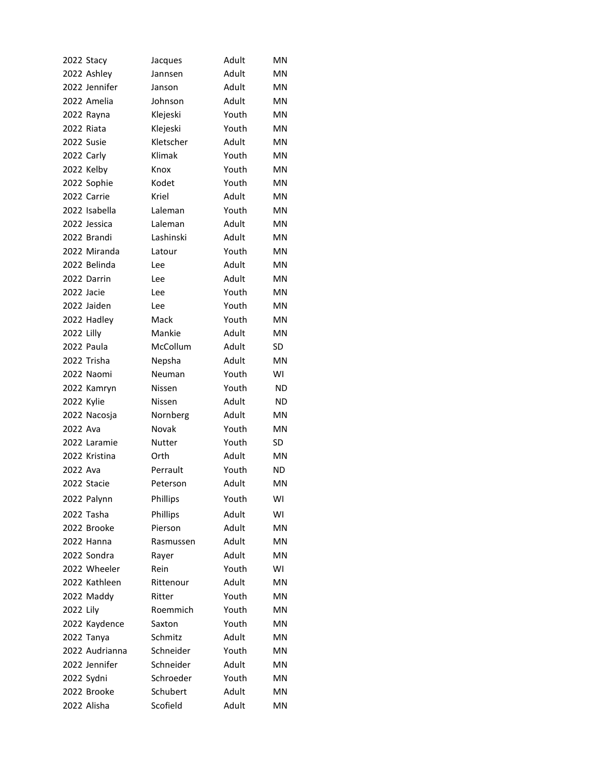|            | 2022 Stacy     | Jacques       | Adult | MN        |
|------------|----------------|---------------|-------|-----------|
|            | 2022 Ashley    | Jannsen       | Adult | MN        |
|            | 2022 Jennifer  | Janson        | Adult | <b>MN</b> |
|            | 2022 Amelia    | Johnson       | Adult | <b>MN</b> |
|            | 2022 Rayna     | Klejeski      | Youth | <b>MN</b> |
|            | 2022 Riata     | Klejeski      | Youth | <b>MN</b> |
|            | 2022 Susie     | Kletscher     | Adult | ΜN        |
|            | 2022 Carly     | Klimak        | Youth | <b>MN</b> |
|            | 2022 Kelby     | Knox          | Youth | <b>MN</b> |
|            | 2022 Sophie    | Kodet         | Youth | <b>MN</b> |
|            | 2022 Carrie    | Kriel         | Adult | <b>MN</b> |
|            | 2022 Isabella  | Laleman       | Youth | <b>MN</b> |
|            | 2022 Jessica   | Laleman       | Adult | <b>MN</b> |
|            | 2022 Brandi    | Lashinski     | Adult | MN        |
|            | 2022 Miranda   | Latour        | Youth | MN        |
|            | 2022 Belinda   | Lee           | Adult | ΜN        |
|            | 2022 Darrin    | Lee           | Adult | <b>MN</b> |
| 2022 Jacie |                | Lee           | Youth | MN        |
|            | 2022 Jaiden    | Lee           | Youth | <b>MN</b> |
|            | 2022 Hadley    | Mack          | Youth | <b>MN</b> |
| 2022 Lilly |                | Mankie        | Adult | <b>MN</b> |
|            | 2022 Paula     | McCollum      | Adult | <b>SD</b> |
|            | 2022 Trisha    | Nepsha        | Adult | <b>MN</b> |
|            | 2022 Naomi     | Neuman        | Youth | WI        |
|            | 2022 Kamryn    | Nissen        | Youth | ND        |
| 2022 Kylie |                | Nissen        | Adult | ND        |
|            | 2022 Nacosja   | Nornberg      | Adult | <b>MN</b> |
| 2022 Ava   |                | Novak         | Youth | <b>MN</b> |
|            | 2022 Laramie   | <b>Nutter</b> | Youth | SD        |
|            | 2022 Kristina  | Orth          | Adult | <b>MN</b> |
| 2022 Ava   |                | Perrault      | Youth | <b>ND</b> |
|            | 2022 Stacie    | Peterson      | Adult | <b>MN</b> |
|            | 2022 Palynn    | Phillips      | Youth | WI        |
|            | 2022 Tasha     | Phillips      | Adult | WI        |
|            | 2022 Brooke    | Pierson       | Adult | <b>MN</b> |
|            | 2022 Hanna     | Rasmussen     | Adult | ΜN        |
|            | 2022 Sondra    | Rayer         | Adult | <b>MN</b> |
|            | 2022 Wheeler   | Rein          | Youth | WI        |
|            | 2022 Kathleen  | Rittenour     | Adult | MN        |
|            | 2022 Maddy     | Ritter        | Youth | ΜN        |
| 2022 Lily  |                | Roemmich      | Youth | <b>MN</b> |
|            | 2022 Kaydence  | Saxton        | Youth | ΜN        |
|            | 2022 Tanya     | Schmitz       | Adult | <b>MN</b> |
|            | 2022 Audrianna | Schneider     | Youth | MN        |
|            | 2022 Jennifer  | Schneider     | Adult | MN        |
|            | 2022 Sydni     | Schroeder     | Youth | ΜN        |
|            | 2022 Brooke    | Schubert      | Adult | ΜN        |
|            | 2022 Alisha    | Scofield      | Adult | ΜN        |
|            |                |               |       |           |